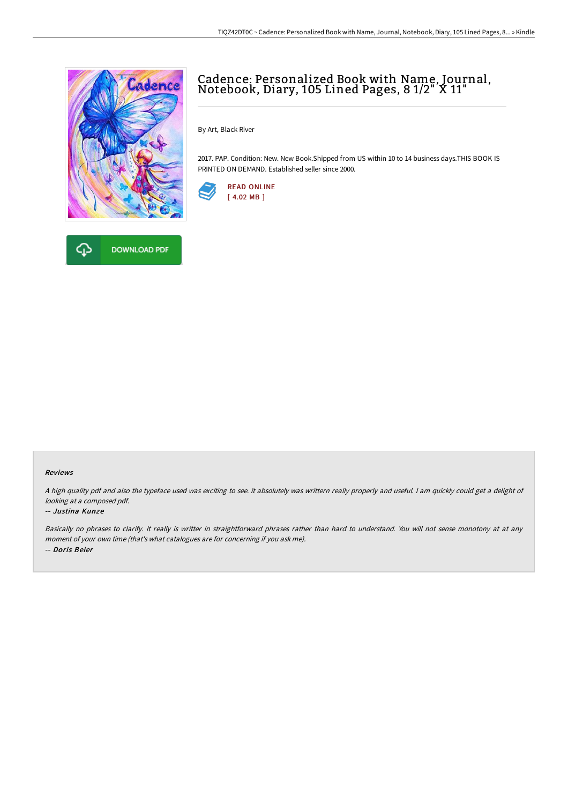

**DOWNLOAD PDF** 

ረጉ

## Cadence: Personalized Book with Name, Journal, Notebook, Diary, <sup>105</sup> Lined Pages, <sup>8</sup> 1/2" <sup>X</sup> 11"

By Art, Black River

2017. PAP. Condition: New. New Book.Shipped from US within 10 to 14 business days.THIS BOOK IS PRINTED ON DEMAND. Established seller since 2000.



## Reviews

<sup>A</sup> high quality pdf and also the typeface used was exciting to see. it absolutely was writtern really properly and useful. <sup>I</sup> am quickly could get <sup>a</sup> delight of looking at <sup>a</sup> composed pdf.

## -- Justina Kunze

Basically no phrases to clarify. It really is writter in straightforward phrases rather than hard to understand. You will not sense monotony at at any moment of your own time (that's what catalogues are for concerning if you ask me). -- Doris Beier